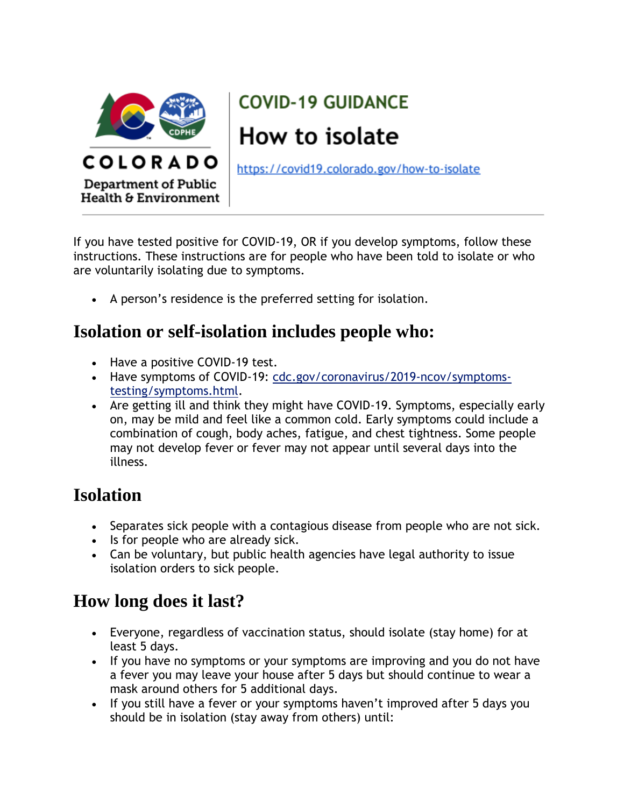

# **COVID-19 GUIDANCE** How to isolate

https://covid19.colorado.gov/how-to-isolate

If you have tested positive for COVID-19, OR if you develop symptoms, follow these instructions. These instructions are for people who have been told to isolate or who are voluntarily isolating due to symptoms.

A person's residence is the preferred setting for isolation.

### **Isolation or self-isolation includes people who:**

- Have a positive COVID-19 test.
- Have symptoms of COVID-19: [cdc.gov/coronavirus/2019-ncov/symptoms](http://cdc.gov/coronavirus/2019-ncov/symptoms-testing/symptoms.html)[testing/symptoms.html.](http://cdc.gov/coronavirus/2019-ncov/symptoms-testing/symptoms.html)
- Are getting ill and think they might have COVID-19. Symptoms, especially early on, may be mild and feel like a common cold. Early symptoms could include a combination of cough, body aches, fatigue, and chest tightness. Some people may not develop fever or fever may not appear until several days into the illness.

### **Isolation**

- Separates sick people with a contagious disease from people who are not sick.
- Is for people who are already sick.
- Can be voluntary, but public health agencies have legal authority to issue isolation orders to sick people.

### **How long does it last?**

- Everyone, regardless of vaccination status, should isolate (stay home) for at least 5 days.
- If you have no symptoms or your symptoms are improving and you do not have a fever you may leave your house after 5 days but should continue to wear a mask around others for 5 additional days.
- If you still have a fever or your symptoms haven't improved after 5 days you should be in isolation (stay away from others) until: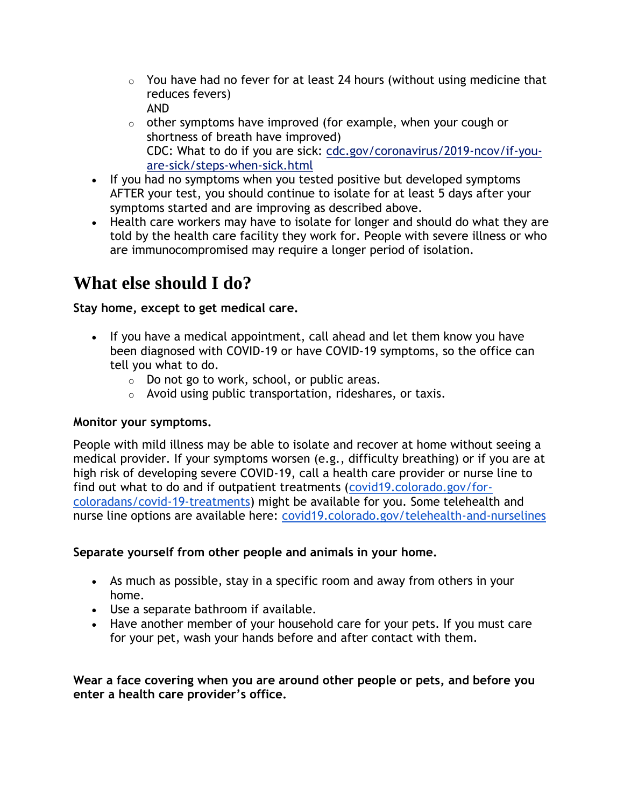- $\circ$  You have had no fever for at least 24 hours (without using medicine that reduces fevers) AND
- $\circ$  other symptoms have improved (for example, when your cough or shortness of breath have improved) CDC: What to do if you are sick: [cdc.gov/coronavirus/2019-ncov/if-you](http://cdc.gov/coronavirus/2019-ncov/if-you-are-sick/steps-when-sick.html)[are-sick/steps-when-sick.html](http://cdc.gov/coronavirus/2019-ncov/if-you-are-sick/steps-when-sick.html)
- If you had no symptoms when you tested positive but developed symptoms AFTER your test, you should continue to isolate for at least 5 days after your symptoms started and are improving as described above.
- Health care workers may have to isolate for longer and should do what they are told by the health care facility they work for. People with severe illness or who are immunocompromised may require a longer period of isolation.

## **What else should I do?**

#### **Stay home, except to get medical care.**

- If you have a medical appointment, call ahead and let them know you have been diagnosed with COVID-19 or have COVID-19 symptoms, so the office can tell you what to do.
	- o Do not go to work, school, or public areas.
	- o Avoid using public transportation, rideshares, or taxis.

#### **Monitor your symptoms.**

People with mild illness may be able to isolate and recover at home without seeing a medical provider. If your symptoms worsen (e.g., difficulty breathing) or if you are at high risk of developing severe COVID-19, call a health care provider or nurse line to find out what to do and if outpatient treatments [\(covid19.colorado.gov/for](https://covid19.colorado.gov/for-coloradans/covid-19-treatments)[coloradans/covid-19-treatments\)](https://covid19.colorado.gov/for-coloradans/covid-19-treatments) might be available for you. Some telehealth and nurse line options are available here: [covid19.colorado.gov/telehealth-and-nurselines](http://covid19.colorado.gov/telehealth-and-nurselines)

#### **Separate yourself from other people and animals in your home.**

- As much as possible, stay in a specific room and away from others in your home.
- Use a separate bathroom if available.
- Have another member of your household care for your pets. If you must care for your pet, wash your hands before and after contact with them.

**Wear a face covering when you are around other people or pets, and before you enter a health care provider's office.**